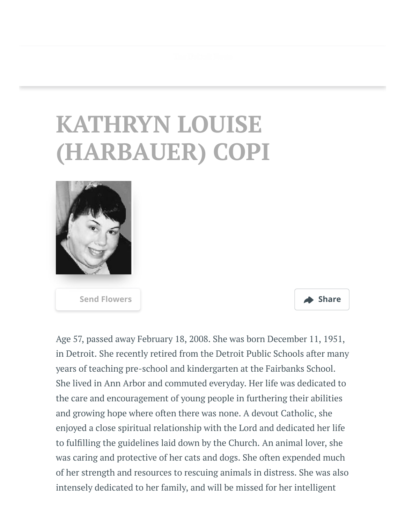## **KATHRYN LOUISE (HARBAUER) COPI**



**[Send Flowers](https://sympathy.legacy.com/en-us/funeral-flowers/name/kathryn-copi-funeral-flowers/p182708121/?affiliateId=3764&pm=205) Share**

Age 57, passed away February 18, 2008. She was born December 11, 1951, in Detroit. She recently retired from the Detroit Public Schools after many years of teaching pre-school and kindergarten at the Fairbanks School. She lived in Ann Arbor and commuted everyday. Her life was dedicated to the care and encouragement of young people in furthering their abilities and growing hope where often there was none. A devout Catholic, she enjoyed a close spiritual relationship with the Lord and dedicated her life to fullling the guidelines laid down by the Church. An animal lover, she was caring and protective of her cats and dogs. She often expended much of her strength and resources to rescuing animals in distress. She was also intensely dedicated to her family, and will be missed for her intelligent